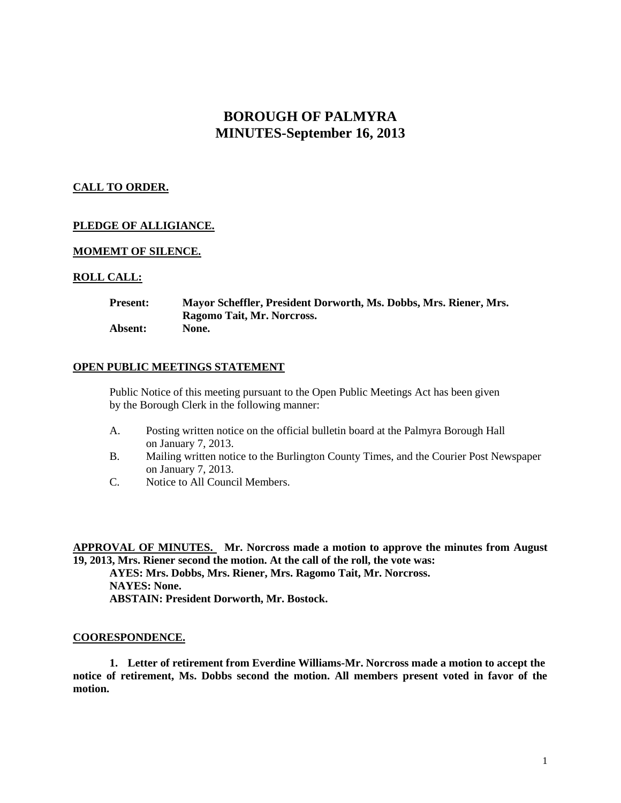# **BOROUGH OF PALMYRA MINUTES-September 16, 2013**

# **CALL TO ORDER.**

# **PLEDGE OF ALLIGIANCE.**

# **MOMEMT OF SILENCE.**

# **ROLL CALL:**

| <b>Present:</b> | Mayor Scheffler, President Dorworth, Ms. Dobbs, Mrs. Riener, Mrs. |
|-----------------|-------------------------------------------------------------------|
|                 | Ragomo Tait, Mr. Norcross.                                        |
| Absent:         | None.                                                             |

## **OPEN PUBLIC MEETINGS STATEMENT**

Public Notice of this meeting pursuant to the Open Public Meetings Act has been given by the Borough Clerk in the following manner:

- A. Posting written notice on the official bulletin board at the Palmyra Borough Hall on January 7, 2013.
- B. Mailing written notice to the Burlington County Times, and the Courier Post Newspaper on January 7, 2013.
- C. Notice to All Council Members.

**APPROVAL OF MINUTES. Mr. Norcross made a motion to approve the minutes from August 19, 2013, Mrs. Riener second the motion. At the call of the roll, the vote was:**

**AYES: Mrs. Dobbs, Mrs. Riener, Mrs. Ragomo Tait, Mr. Norcross. NAYES: None. ABSTAIN: President Dorworth, Mr. Bostock.**

#### **COORESPONDENCE.**

**1. Letter of retirement from Everdine Williams-Mr. Norcross made a motion to accept the notice of retirement, Ms. Dobbs second the motion. All members present voted in favor of the motion.**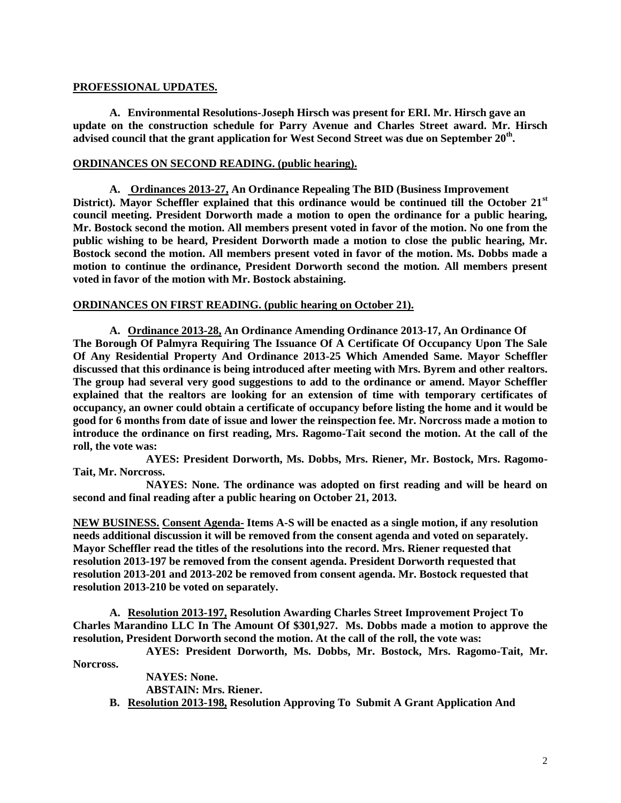# **PROFESSIONAL UPDATES.**

**A. Environmental Resolutions-Joseph Hirsch was present for ERI. Mr. Hirsch gave an update on the construction schedule for Parry Avenue and Charles Street award. Mr. Hirsch advised council that the grant application for West Second Street was due on September 20th .**

# **ORDINANCES ON SECOND READING. (public hearing).**

**A. Ordinances 2013-27, An Ordinance Repealing The BID (Business Improvement District). Mayor Scheffler explained that this ordinance would be continued till the October 21st council meeting. President Dorworth made a motion to open the ordinance for a public hearing, Mr. Bostock second the motion. All members present voted in favor of the motion. No one from the public wishing to be heard, President Dorworth made a motion to close the public hearing, Mr. Bostock second the motion. All members present voted in favor of the motion. Ms. Dobbs made a motion to continue the ordinance, President Dorworth second the motion. All members present voted in favor of the motion with Mr. Bostock abstaining.** 

# **ORDINANCES ON FIRST READING. (public hearing on October 21).**

**A. Ordinance 2013-28, An Ordinance Amending Ordinance 2013-17, An Ordinance Of The Borough Of Palmyra Requiring The Issuance Of A Certificate Of Occupancy Upon The Sale Of Any Residential Property And Ordinance 2013-25 Which Amended Same. Mayor Scheffler discussed that this ordinance is being introduced after meeting with Mrs. Byrem and other realtors. The group had several very good suggestions to add to the ordinance or amend. Mayor Scheffler explained that the realtors are looking for an extension of time with temporary certificates of occupancy, an owner could obtain a certificate of occupancy before listing the home and it would be good for 6 months from date of issue and lower the reinspection fee. Mr. Norcross made a motion to introduce the ordinance on first reading, Mrs. Ragomo-Tait second the motion. At the call of the roll, the vote was:**

**AYES: President Dorworth, Ms. Dobbs, Mrs. Riener, Mr. Bostock, Mrs. Ragomo-Tait, Mr. Norcross.**

**NAYES: None. The ordinance was adopted on first reading and will be heard on second and final reading after a public hearing on October 21, 2013.**

**NEW BUSINESS. Consent Agenda- Items A-S will be enacted as a single motion, if any resolution needs additional discussion it will be removed from the consent agenda and voted on separately. Mayor Scheffler read the titles of the resolutions into the record. Mrs. Riener requested that resolution 2013-197 be removed from the consent agenda. President Dorworth requested that resolution 2013-201 and 2013-202 be removed from consent agenda. Mr. Bostock requested that resolution 2013-210 be voted on separately.**

**A. Resolution 2013-197, Resolution Awarding Charles Street Improvement Project To Charles Marandino LLC In The Amount Of \$301,927. Ms. Dobbs made a motion to approve the resolution, President Dorworth second the motion. At the call of the roll, the vote was:**

**AYES: President Dorworth, Ms. Dobbs, Mr. Bostock, Mrs. Ragomo-Tait, Mr. Norcross.**

> **NAYES: None. ABSTAIN: Mrs. Riener.**

**B. Resolution 2013-198, Resolution Approving To Submit A Grant Application And**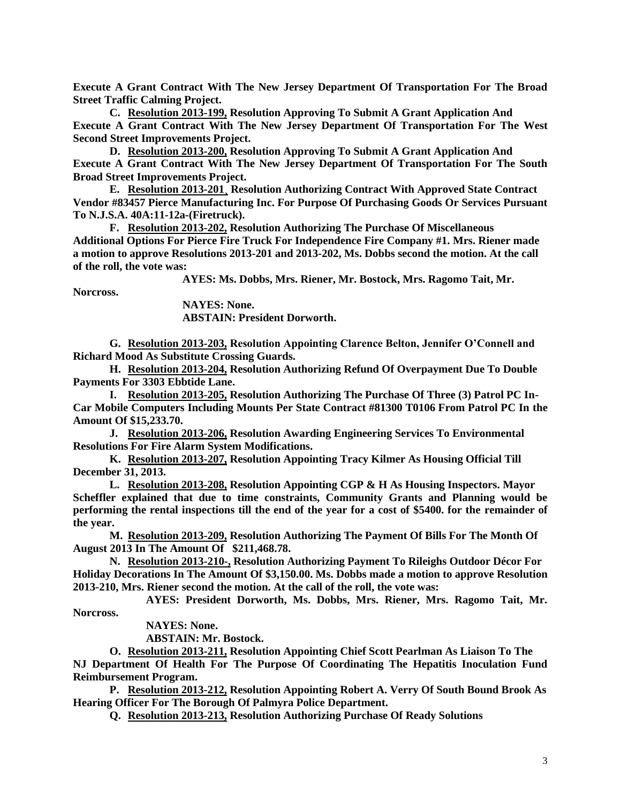**Execute A Grant Contract With The New Jersey Department Of Transportation For The Broad Street Traffic Calming Project.** 

**C. Resolution 2013-199, Resolution Approving To Submit A Grant Application And Execute A Grant Contract With The New Jersey Department Of Transportation For The West Second Street Improvements Project.**

**D. Resolution 2013-200, Resolution Approving To Submit A Grant Application And Execute A Grant Contract With The New Jersey Department Of Transportation For The South Broad Street Improvements Project.**

**E. Resolution 2013-201¸ Resolution Authorizing Contract With Approved State Contract Vendor #83457 Pierce Manufacturing Inc. For Purpose Of Purchasing Goods Or Services Pursuant To N.J.S.A. 40A:11-12a-(Firetruck).**

**F. Resolution 2013-202, Resolution Authorizing The Purchase Of Miscellaneous Additional Options For Pierce Fire Truck For Independence Fire Company #1. Mrs. Riener made a motion to approve Resolutions 2013-201 and 2013-202, Ms. Dobbs second the motion. At the call of the roll, the vote was:**

**AYES: Ms. Dobbs, Mrs. Riener, Mr. Bostock, Mrs. Ragomo Tait, Mr.** 

**Norcross.**

**NAYES: None. ABSTAIN: President Dorworth.**

**G. Resolution 2013-203, Resolution Appointing Clarence Belton, Jennifer O'Connell and Richard Mood As Substitute Crossing Guards.**

**H. Resolution 2013-204, Resolution Authorizing Refund Of Overpayment Due To Double Payments For 3303 Ebbtide Lane.**

**I. Resolution 2013-205, Resolution Authorizing The Purchase Of Three (3) Patrol PC In-Car Mobile Computers Including Mounts Per State Contract #81300 T0106 From Patrol PC In the Amount Of \$15,233.70.** 

**J. Resolution 2013-206, Resolution Awarding Engineering Services To Environmental Resolutions For Fire Alarm System Modifications.**

**K. Resolution 2013-207, Resolution Appointing Tracy Kilmer As Housing Official Till December 31, 2013.**

**L. Resolution 2013-208, Resolution Appointing CGP & H As Housing Inspectors. Mayor Scheffler explained that due to time constraints, Community Grants and Planning would be performing the rental inspections till the end of the year for a cost of \$5400. for the remainder of the year.** 

**M. Resolution 2013-209, Resolution Authorizing The Payment Of Bills For The Month Of August 2013 In The Amount Of \$211,468.78.**

**N. Resolution 2013-210-, Resolution Authorizing Payment To Rileighs Outdoor Décor For Holiday Decorations In The Amount Of \$3,150.00. Ms. Dobbs made a motion to approve Resolution 2013-210, Mrs. Riener second the motion. At the call of the roll, the vote was:**

**AYES: President Dorworth, Ms. Dobbs, Mrs. Riener, Mrs. Ragomo Tait, Mr. Norcross.**

**NAYES: None.**

**ABSTAIN: Mr. Bostock.**

**O. Resolution 2013-211, Resolution Appointing Chief Scott Pearlman As Liaison To The NJ Department Of Health For The Purpose Of Coordinating The Hepatitis Inoculation Fund Reimbursement Program.** 

**P. Resolution 2013-212, Resolution Appointing Robert A. Verry Of South Bound Brook As Hearing Officer For The Borough Of Palmyra Police Department.**

**Q. Resolution 2013-213, Resolution Authorizing Purchase Of Ready Solutions**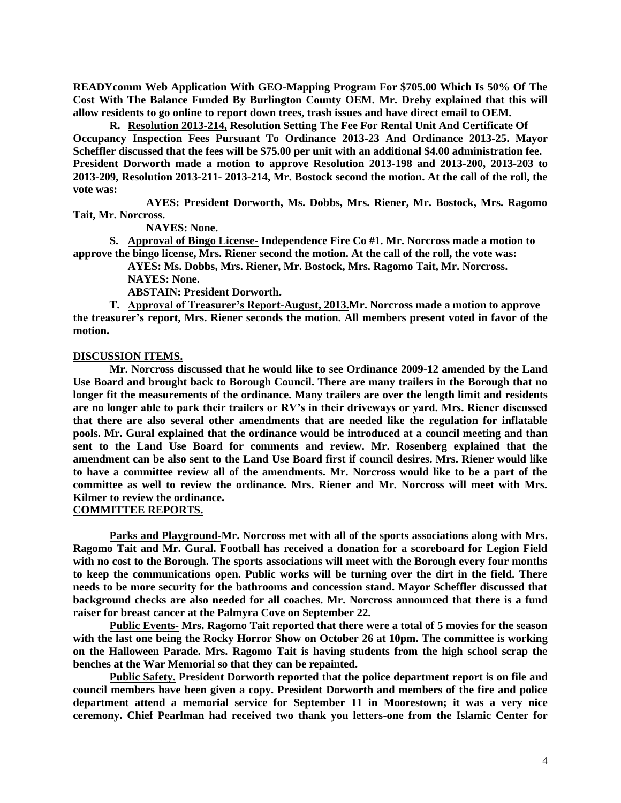**READYcomm Web Application With GEO-Mapping Program For \$705.00 Which Is 50% Of The Cost With The Balance Funded By Burlington County OEM. Mr. Dreby explained that this will allow residents to go online to report down trees, trash issues and have direct email to OEM.**

**R. Resolution 2013-214, Resolution Setting The Fee For Rental Unit And Certificate Of Occupancy Inspection Fees Pursuant To Ordinance 2013-23 And Ordinance 2013-25. Mayor Scheffler discussed that the fees will be \$75.00 per unit with an additional \$4.00 administration fee. President Dorworth made a motion to approve Resolution 2013-198 and 2013-200, 2013-203 to 2013-209, Resolution 2013-211- 2013-214, Mr. Bostock second the motion. At the call of the roll, the vote was:**

**AYES: President Dorworth, Ms. Dobbs, Mrs. Riener, Mr. Bostock, Mrs. Ragomo Tait, Mr. Norcross.**

**NAYES: None.**

**S. Approval of Bingo License- Independence Fire Co #1. Mr. Norcross made a motion to approve the bingo license, Mrs. Riener second the motion. At the call of the roll, the vote was:**

> **AYES: Ms. Dobbs, Mrs. Riener, Mr. Bostock, Mrs. Ragomo Tait, Mr. Norcross. NAYES: None.**

**ABSTAIN: President Dorworth.**

**T. Approval of Treasurer's Report-August, 2013.Mr. Norcross made a motion to approve the treasurer's report, Mrs. Riener seconds the motion. All members present voted in favor of the motion.**

## **DISCUSSION ITEMS.**

**Mr. Norcross discussed that he would like to see Ordinance 2009-12 amended by the Land Use Board and brought back to Borough Council. There are many trailers in the Borough that no longer fit the measurements of the ordinance. Many trailers are over the length limit and residents are no longer able to park their trailers or RV's in their driveways or yard. Mrs. Riener discussed that there are also several other amendments that are needed like the regulation for inflatable pools. Mr. Gural explained that the ordinance would be introduced at a council meeting and than sent to the Land Use Board for comments and review. Mr. Rosenberg explained that the amendment can be also sent to the Land Use Board first if council desires. Mrs. Riener would like to have a committee review all of the amendments. Mr. Norcross would like to be a part of the committee as well to review the ordinance. Mrs. Riener and Mr. Norcross will meet with Mrs. Kilmer to review the ordinance.**

## **COMMITTEE REPORTS.**

**Parks and Playground-Mr. Norcross met with all of the sports associations along with Mrs. Ragomo Tait and Mr. Gural. Football has received a donation for a scoreboard for Legion Field with no cost to the Borough. The sports associations will meet with the Borough every four months to keep the communications open. Public works will be turning over the dirt in the field. There needs to be more security for the bathrooms and concession stand. Mayor Scheffler discussed that background checks are also needed for all coaches. Mr. Norcross announced that there is a fund raiser for breast cancer at the Palmyra Cove on September 22.**

**Public Events- Mrs. Ragomo Tait reported that there were a total of 5 movies for the season with the last one being the Rocky Horror Show on October 26 at 10pm. The committee is working on the Halloween Parade. Mrs. Ragomo Tait is having students from the high school scrap the benches at the War Memorial so that they can be repainted.** 

**Public Safety. President Dorworth reported that the police department report is on file and council members have been given a copy. President Dorworth and members of the fire and police department attend a memorial service for September 11 in Moorestown; it was a very nice ceremony. Chief Pearlman had received two thank you letters-one from the Islamic Center for**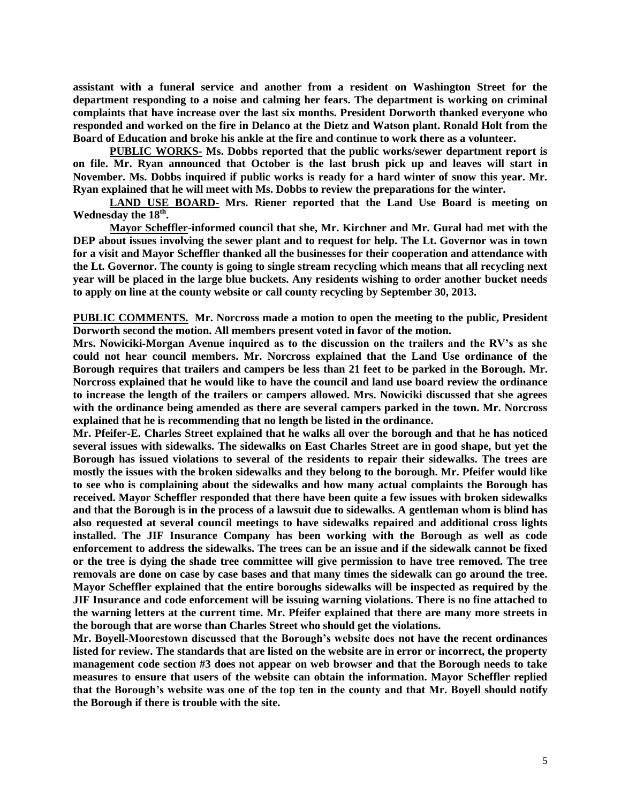**assistant with a funeral service and another from a resident on Washington Street for the department responding to a noise and calming her fears. The department is working on criminal complaints that have increase over the last six months. President Dorworth thanked everyone who responded and worked on the fire in Delanco at the Dietz and Watson plant. Ronald Holt from the Board of Education and broke his ankle at the fire and continue to work there as a volunteer.**

**PUBLIC WORKS- Ms. Dobbs reported that the public works/sewer department report is on file. Mr. Ryan announced that October is the last brush pick up and leaves will start in November. Ms. Dobbs inquired if public works is ready for a hard winter of snow this year. Mr. Ryan explained that he will meet with Ms. Dobbs to review the preparations for the winter.** 

**LAND USE BOARD- Mrs. Riener reported that the Land Use Board is meeting on Wednesday the 18th .** 

**Mayor Scheffler-informed council that she, Mr. Kirchner and Mr. Gural had met with the DEP about issues involving the sewer plant and to request for help. The Lt. Governor was in town for a visit and Mayor Scheffler thanked all the businesses for their cooperation and attendance with the Lt. Governor. The county is going to single stream recycling which means that all recycling next year will be placed in the large blue buckets. Any residents wishing to order another bucket needs to apply on line at the county website or call county recycling by September 30, 2013.**

**PUBLIC COMMENTS. Mr. Norcross made a motion to open the meeting to the public, President Dorworth second the motion. All members present voted in favor of the motion.**

**Mrs. Nowiciki-Morgan Avenue inquired as to the discussion on the trailers and the RV's as she could not hear council members. Mr. Norcross explained that the Land Use ordinance of the Borough requires that trailers and campers be less than 21 feet to be parked in the Borough. Mr. Norcross explained that he would like to have the council and land use board review the ordinance to increase the length of the trailers or campers allowed. Mrs. Nowiciki discussed that she agrees with the ordinance being amended as there are several campers parked in the town. Mr. Norcross explained that he is recommending that no length be listed in the ordinance.**

**Mr. Pfeifer-E. Charles Street explained that he walks all over the borough and that he has noticed several issues with sidewalks. The sidewalks on East Charles Street are in good shape, but yet the Borough has issued violations to several of the residents to repair their sidewalks. The trees are mostly the issues with the broken sidewalks and they belong to the borough. Mr. Pfeifer would like to see who is complaining about the sidewalks and how many actual complaints the Borough has received. Mayor Scheffler responded that there have been quite a few issues with broken sidewalks and that the Borough is in the process of a lawsuit due to sidewalks. A gentleman whom is blind has also requested at several council meetings to have sidewalks repaired and additional cross lights installed. The JIF Insurance Company has been working with the Borough as well as code enforcement to address the sidewalks. The trees can be an issue and if the sidewalk cannot be fixed or the tree is dying the shade tree committee will give permission to have tree removed. The tree removals are done on case by case bases and that many times the sidewalk can go around the tree. Mayor Scheffler explained that the entire boroughs sidewalks will be inspected as required by the JIF Insurance and code enforcement will be issuing warning violations. There is no fine attached to the warning letters at the current time. Mr. Pfeifer explained that there are many more streets in the borough that are worse than Charles Street who should get the violations.** 

**Mr. Boyell-Moorestown discussed that the Borough's website does not have the recent ordinances listed for review. The standards that are listed on the website are in error or incorrect, the property management code section #3 does not appear on web browser and that the Borough needs to take measures to ensure that users of the website can obtain the information. Mayor Scheffler replied that the Borough's website was one of the top ten in the county and that Mr. Boyell should notify the Borough if there is trouble with the site.**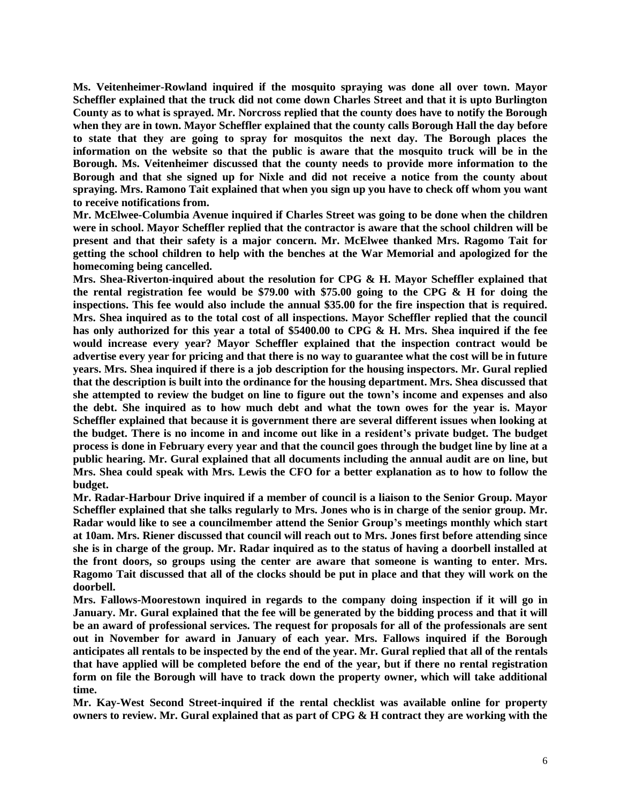**Ms. Veitenheimer-Rowland inquired if the mosquito spraying was done all over town. Mayor Scheffler explained that the truck did not come down Charles Street and that it is upto Burlington County as to what is sprayed. Mr. Norcross replied that the county does have to notify the Borough when they are in town. Mayor Scheffler explained that the county calls Borough Hall the day before to state that they are going to spray for mosquitos the next day. The Borough places the information on the website so that the public is aware that the mosquito truck will be in the Borough. Ms. Veitenheimer discussed that the county needs to provide more information to the Borough and that she signed up for Nixle and did not receive a notice from the county about spraying. Mrs. Ramono Tait explained that when you sign up you have to check off whom you want to receive notifications from.** 

**Mr. McElwee-Columbia Avenue inquired if Charles Street was going to be done when the children were in school. Mayor Scheffler replied that the contractor is aware that the school children will be present and that their safety is a major concern. Mr. McElwee thanked Mrs. Ragomo Tait for getting the school children to help with the benches at the War Memorial and apologized for the homecoming being cancelled.** 

**Mrs. Shea-Riverton-inquired about the resolution for CPG & H. Mayor Scheffler explained that the rental registration fee would be \$79.00 with \$75.00 going to the CPG & H for doing the inspections. This fee would also include the annual \$35.00 for the fire inspection that is required. Mrs. Shea inquired as to the total cost of all inspections. Mayor Scheffler replied that the council has only authorized for this year a total of \$5400.00 to CPG & H. Mrs. Shea inquired if the fee would increase every year? Mayor Scheffler explained that the inspection contract would be advertise every year for pricing and that there is no way to guarantee what the cost will be in future years. Mrs. Shea inquired if there is a job description for the housing inspectors. Mr. Gural replied that the description is built into the ordinance for the housing department. Mrs. Shea discussed that she attempted to review the budget on line to figure out the town's income and expenses and also the debt. She inquired as to how much debt and what the town owes for the year is. Mayor Scheffler explained that because it is government there are several different issues when looking at the budget. There is no income in and income out like in a resident's private budget. The budget process is done in February every year and that the council goes through the budget line by line at a public hearing. Mr. Gural explained that all documents including the annual audit are on line, but Mrs. Shea could speak with Mrs. Lewis the CFO for a better explanation as to how to follow the budget.** 

**Mr. Radar-Harbour Drive inquired if a member of council is a liaison to the Senior Group. Mayor Scheffler explained that she talks regularly to Mrs. Jones who is in charge of the senior group. Mr. Radar would like to see a councilmember attend the Senior Group's meetings monthly which start at 10am. Mrs. Riener discussed that council will reach out to Mrs. Jones first before attending since she is in charge of the group. Mr. Radar inquired as to the status of having a doorbell installed at the front doors, so groups using the center are aware that someone is wanting to enter. Mrs. Ragomo Tait discussed that all of the clocks should be put in place and that they will work on the doorbell.** 

**Mrs. Fallows-Moorestown inquired in regards to the company doing inspection if it will go in January. Mr. Gural explained that the fee will be generated by the bidding process and that it will be an award of professional services. The request for proposals for all of the professionals are sent out in November for award in January of each year. Mrs. Fallows inquired if the Borough anticipates all rentals to be inspected by the end of the year. Mr. Gural replied that all of the rentals that have applied will be completed before the end of the year, but if there no rental registration form on file the Borough will have to track down the property owner, which will take additional time.** 

**Mr. Kay-West Second Street-inquired if the rental checklist was available online for property owners to review. Mr. Gural explained that as part of CPG & H contract they are working with the**